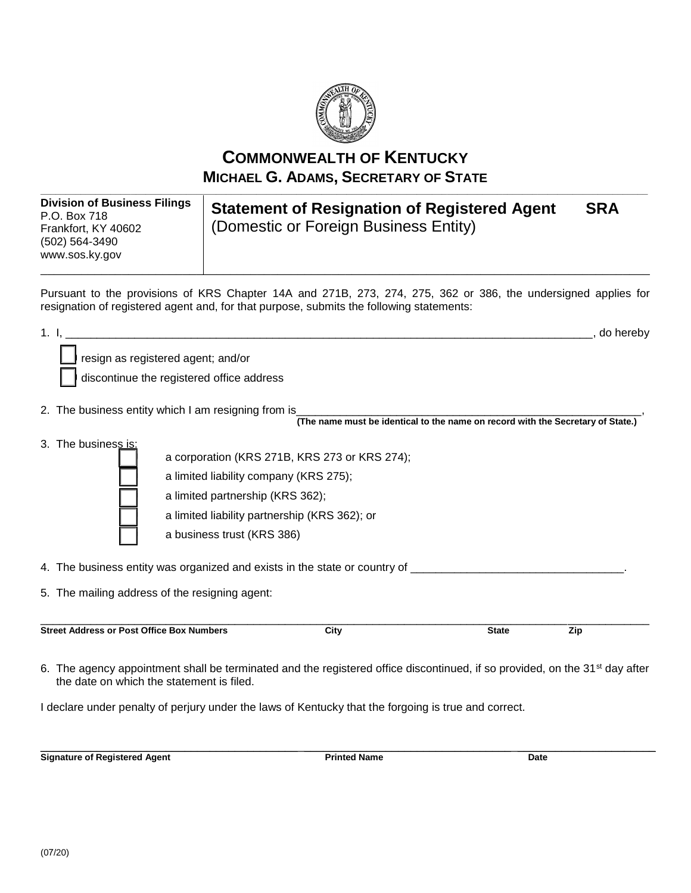

**COMMONWEALTH OF KENTUCKY MICHAEL G. ADAMS, SECRETARY OF STATE**

**\_\_\_\_\_\_\_\_\_\_\_\_\_\_\_\_\_\_\_\_\_\_\_\_\_\_\_\_\_\_\_\_\_\_\_\_\_\_\_\_\_\_\_\_\_\_\_\_\_\_\_\_\_\_\_\_\_\_\_\_\_\_\_\_\_\_\_\_\_\_\_\_\_\_\_\_\_\_\_\_\_\_\_\_\_\_\_\_\_\_\_\_\_\_\_\_\_\_\_\_\_\_\_\_\_\_\_\_\_\_\_\_\_\_\_\_\_\_\_\_\_**

**Division of Business Filings** P.O. Box 718 Frankfort, KY 40602 (502) 564-3490 [www.sos.ky.gov](http://www.sos.ky.gov/)

**Statement of Resignation of Registered Agent SRA** (Domestic or Foreign Business Entity)

Pursuant to the provisions of KRS Chapter 14A and 271B, 273, 274, 275, 362 or 386, the undersigned applies for resignation of registered agent and, for that purpose, submits the following statements:

\_\_\_\_\_\_\_\_\_\_\_\_\_\_\_\_\_\_\_\_\_\_\_\_\_\_\_\_\_\_\_\_\_\_\_\_\_\_\_\_\_\_\_\_\_\_\_\_\_\_\_\_\_\_\_\_\_\_\_\_\_\_\_\_\_\_\_\_\_\_\_\_\_\_\_\_\_\_\_\_\_\_\_\_\_\_\_\_\_\_

| 1 <sub>1</sub>                                   | <u> 1980 - Jan Barnett, mars ann an t-Amhainn an t-Amhainn an t-Amhainn an t-Amhainn an t-Amhainn an t-Amhainn an </u><br>do hereby<br>resign as registered agent; and/or |                                                                                                                                        |                                                                                                      |              |     |  |
|--------------------------------------------------|---------------------------------------------------------------------------------------------------------------------------------------------------------------------------|----------------------------------------------------------------------------------------------------------------------------------------|------------------------------------------------------------------------------------------------------|--------------|-----|--|
|                                                  |                                                                                                                                                                           |                                                                                                                                        |                                                                                                      |              |     |  |
|                                                  | discontinue the registered office address                                                                                                                                 |                                                                                                                                        |                                                                                                      |              |     |  |
|                                                  |                                                                                                                                                                           | 2. The business entity which I am resigning from is<br>(The name must be identical to the name on record with the Secretary of State.) |                                                                                                      |              |     |  |
|                                                  | 3. The business is:                                                                                                                                                       |                                                                                                                                        | a corporation (KRS 271B, KRS 273 or KRS 274);                                                        |              |     |  |
|                                                  |                                                                                                                                                                           |                                                                                                                                        |                                                                                                      |              |     |  |
|                                                  |                                                                                                                                                                           |                                                                                                                                        | a limited liability company (KRS 275);                                                               |              |     |  |
|                                                  |                                                                                                                                                                           | a limited partnership (KRS 362);                                                                                                       |                                                                                                      |              |     |  |
|                                                  |                                                                                                                                                                           |                                                                                                                                        | a limited liability partnership (KRS 362); or                                                        |              |     |  |
|                                                  |                                                                                                                                                                           | a business trust (KRS 386)                                                                                                             |                                                                                                      |              |     |  |
|                                                  |                                                                                                                                                                           |                                                                                                                                        | 4. The business entity was organized and exists in the state or country of _________________________ |              |     |  |
|                                                  | 5. The mailing address of the resigning agent:                                                                                                                            |                                                                                                                                        |                                                                                                      |              |     |  |
| <b>Street Address or Post Office Box Numbers</b> |                                                                                                                                                                           |                                                                                                                                        | City                                                                                                 | <b>State</b> | Zip |  |
|                                                  |                                                                                                                                                                           |                                                                                                                                        |                                                                                                      |              |     |  |

6. The agency appointment shall be terminated and the registered office discontinued, if so provided, on the 31<sup>st</sup> day after the date on which the statement is filed.

I declare under penalty of perjury under the laws of Kentucky that the forgoing is true and correct.

\_\_\_\_\_\_\_\_\_\_\_\_\_\_\_\_\_\_\_\_\_\_\_\_\_\_\_\_\_\_\_\_\_\_\_\_\_\_\_\_\_\_\_\_\_\_\_\_\_\_\_\_\_\_\_\_\_\_\_\_\_\_\_\_\_\_\_\_\_\_\_\_\_\_\_\_\_\_\_\_\_\_\_\_\_\_\_\_\_\_\_\_\_\_\_\_\_\_ **Signature of Registered Agent Community Community Printed Name Date**